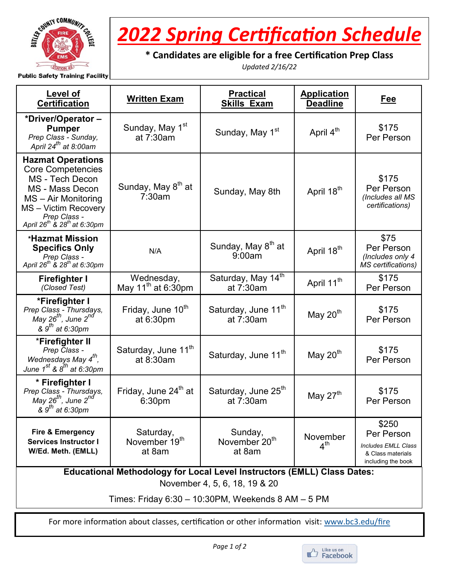

## *2022 Spring Certification Schedule*

## **\* Candidates are eligible for a free Certification Prep Class**

*Updated 2/16/22*

|  | <b>Public Safety Training Facility</b> |  |
|--|----------------------------------------|--|

| Level of<br><b>Certification</b>                                                                                                                                                                                        | <b>Written Exam</b>                              | <b>Practical</b><br><b>Skills Exam</b>         | <b>Application</b><br><b>Deadline</b> | Fee                                                                                          |  |  |  |
|-------------------------------------------------------------------------------------------------------------------------------------------------------------------------------------------------------------------------|--------------------------------------------------|------------------------------------------------|---------------------------------------|----------------------------------------------------------------------------------------------|--|--|--|
| *Driver/Operator -<br><b>Pumper</b><br>Prep Class - Sunday,<br>April 24 <sup>th</sup> at 8:00am                                                                                                                         | Sunday, May 1 <sup>st</sup><br>at 7:30am         | Sunday, May 1 <sup>st</sup>                    | April 4 <sup>th</sup>                 | \$175<br>Per Person                                                                          |  |  |  |
| <b>Hazmat Operations</b><br><b>Core Competencies</b><br>MS - Tech Decon<br><b>MS - Mass Decon</b><br>MS - Air Monitoring<br>MS - Victim Recovery<br>Prep Class -<br>April 26 <sup>th</sup> & 28 <sup>th</sup> at 6:30pm | Sunday, May 8 <sup>th</sup> at<br>7:30am         | Sunday, May 8th                                | April 18 <sup>th</sup>                | \$175<br>Per Person<br>(Includes all MS<br>certifications)                                   |  |  |  |
| *Hazmat Mission<br><b>Specifics Only</b><br>Prep Class -<br>April 26 <sup>th</sup> & 28 <sup>th</sup> at 6:30pm                                                                                                         | N/A                                              | Sunday, May 8 <sup>th</sup> at<br>9:00am       | April 18 <sup>th</sup>                | \$75<br>Per Person<br>(Includes only 4<br>MS certifications)                                 |  |  |  |
| <b>Firefighter I</b><br>(Closed Test)                                                                                                                                                                                   | Wednesday,<br>May 11 <sup>th</sup> at 6:30pm     | Saturday, May 14 <sup>th</sup><br>at 7:30am    | April 11 <sup>th</sup>                | \$175<br>Per Person                                                                          |  |  |  |
| *Firefighter I<br>Prep Class - Thursdays,<br>May $26^{th}$ , June $2^{nd}$<br>& 9 <sup>th</sup> at 6:30pm                                                                                                               | Friday, June 10 <sup>th</sup><br>at 6:30pm       | Saturday, June 11 <sup>th</sup><br>at 7:30am   | May $20th$                            | \$175<br>Per Person                                                                          |  |  |  |
| *Firefighter II<br>Prep Class -<br>Wednesdays May 4 <sup>th</sup> ,<br>June $1^{st}$ & $8^{th}$ at 6:30pm                                                                                                               | Saturday, June 11 <sup>th</sup><br>at 8:30am     | Saturday, June 11 <sup>th</sup>                | May $20th$                            | \$175<br>Per Person                                                                          |  |  |  |
| * Firefighter I<br>Prep Class - Thursdays,<br>May 26 <sup>th</sup> , June 2 <sup>nd</sup><br>$8.9th$ at 6:30pm                                                                                                          | Friday, June 24 <sup>th</sup> at<br>6:30pm       | Saturday, June 25 <sup>th</sup><br>at 7:30am   | May $27th$                            | \$175<br>Per Person                                                                          |  |  |  |
| <b>Fire &amp; Emergency</b><br><b>Services Instructor I</b><br>W/Ed. Meth. (EMLL)                                                                                                                                       | Saturday,<br>November 19 <sup>th</sup><br>at 8am | Sunday,<br>November 20 <sup>th</sup><br>at 8am | November<br>4 <sup>th</sup>           | \$250<br>Per Person<br><b>Includes EMLL Class</b><br>& Class materials<br>including the book |  |  |  |
| <b>Educational Methodology for Local Level Instructors (EMLL) Class Dates:</b><br>November 4, 5, 6, 18, 19 & 20                                                                                                         |                                                  |                                                |                                       |                                                                                              |  |  |  |
| Times: Friday 6:30 - 10:30PM, Weekends 8 AM $-$ 5 PM                                                                                                                                                                    |                                                  |                                                |                                       |                                                                                              |  |  |  |

For more information about classes, certification or other information visit: [www.bc3.edu/fire](https://www.bc3.edu/programs-classes/workforce/public-safety-training/fire-rescue-hazmat-training/index.html)